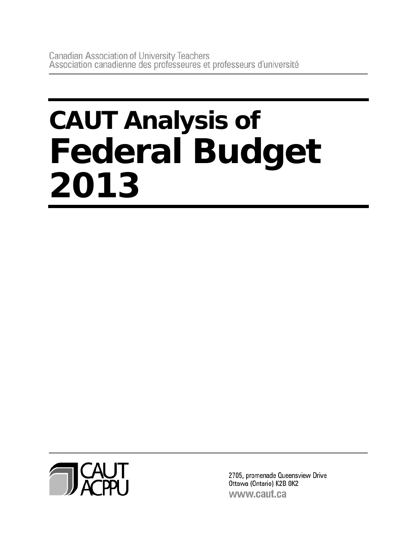# **CAUT Analysis of Federal Budget 2013**



2705, promenade Queensview Drive Ottawa (Ontario) K2B 8K2 www.caut.ca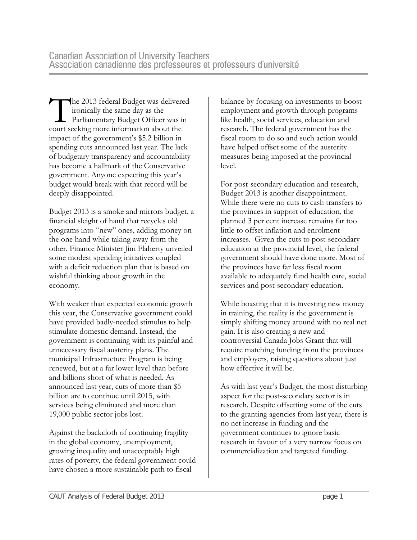he 2013 federal Budget was delivered ironically the same day as the Parliamentary Budget Officer was in The 2013 federal Budget was delivered ironically the same day as the Parliamentary Budget Officer was incourt seeking more information about the impact of the government's \$5.2 billion in spending cuts announced last year. The lack of budgetary transparency and accountability has become a hallmark of the Conservative government. Anyone expecting this year's budget would break with that record will be deeply disappointed.

Budget 2013 is a smoke and mirrors budget, a financial sleight of hand that recycles old programs into "new" ones, adding money on the one hand while taking away from the other. Finance Minister Jim Flaherty unveiled some modest spending initiatives coupled with a deficit reduction plan that is based on wishful thinking about growth in the economy.

With weaker than expected economic growth this year, the Conservative government could have provided badly-needed stimulus to help stimulate domestic demand. Instead, the government is continuing with its painful and unnecessary fiscal austerity plans. The municipal Infrastructure Program is being renewed, but at a far lower level than before and billions short of what is needed. As announced last year, cuts of more than \$5 billion are to continue until 2015, with services being eliminated and more than 19,000 public sector jobs lost.

Against the backcloth of continuing fragility in the global economy, unemployment, growing inequality and unacceptably high rates of poverty, the federal government could have chosen a more sustainable path to fiscal

balance by focusing on investments to boost employment and growth through programs like health, social services, education and research. The federal government has the fiscal room to do so and such action would have helped offset some of the austerity measures being imposed at the provincial level.

For post-secondary education and research, Budget 2013 is another disappointment. While there were no cuts to cash transfers to the provinces in support of education, the planned 3 per cent increase remains far too little to offset inflation and enrolment increases. Given the cuts to post-secondary education at the provincial level, the federal government should have done more. Most of the provinces have far less fiscal room available to adequately fund health care, social services and post-secondary education.

While boasting that it is investing new money in training, the reality is the government is simply shifting money around with no real net gain. It is also creating a new and controversial Canada Jobs Grant that will require matching funding from the provinces and employers, raising questions about just how effective it will be.

As with last year's Budget, the most disturbing aspect for the post-secondary sector is in research. Despite offsetting some of the cuts to the granting agencies from last year, there is no net increase in funding and the government continues to ignore basic research in favour of a very narrow focus on commercialization and targeted funding.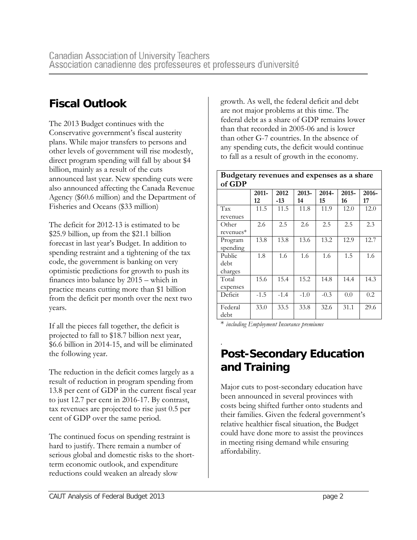## **Fiscal Outlook**

The 2013 Budget continues with the Conservative government's fiscal austerity plans. While major transfers to persons and other levels of government will rise modestly, direct program spending will fall by about \$4 billion, mainly as a result of the cuts announced last year. New spending cuts were also announced affecting the Canada Revenue Agency (\$60.6 million) and the Department of Fisheries and Oceans (\$33 million)

The deficit for 2012-13 is estimated to be \$25.9 billion, up from the \$21.1 billion forecast in last year's Budget. In addition to spending restraint and a tightening of the tax code, the government is banking on very optimistic predictions for growth to push its finances into balance by 2015 – which in practice means cutting more than \$1 billion from the deficit per month over the next two years.

If all the pieces fall together, the deficit is projected to fall to \$18.7 billion next year, \$6.6 billion in 2014-15, and will be eliminated the following year.

The reduction in the deficit comes largely as a result of reduction in program spending from 13.8 per cent of GDP in the current fiscal year to just 12.7 per cent in 2016-17. By contrast, tax revenues are projected to rise just 0.5 per cent of GDP over the same period.

The continued focus on spending restraint is hard to justify. There remain a number of serious global and domestic risks to the shortterm economic outlook, and expenditure reductions could weaken an already slow

growth. As well, the federal deficit and debt are not major problems at this time. The federal debt as a share of GDP remains lower than that recorded in 2005-06 and is lower than other G-7 countries. In the absence of any spending cuts, the deficit would continue to fall as a result of growth in the economy.

**Budgetary revenues and expenses as a share of GDP** 

|                           | 2011-<br>12 | 2012<br>$-13$ | 2013-<br>14 | 2014-<br>15 | 2015-<br>16 | 2016-<br>17 |
|---------------------------|-------------|---------------|-------------|-------------|-------------|-------------|
| Tax<br>revenues           | 11.5        | 11.5          | 11.8        | 11.9        | 12.0        | 12.0        |
| Other<br>$revenues*$      | 2.6         | 2.5           | 2.6         | 2.5         | 2.5         | 2.3         |
| Program<br>spending       | 13.8        | 13.8          | 13.6        | 13.2        | 12.9        | 12.7        |
| Public<br>debt<br>charges | 1.8         | 1.6           | 1.6         | 1.6         | 1.5         | 1.6         |
| Total<br>expenses         | 15.6        | 15.4          | 15.2        | 14.8        | 14.4        | 14.3        |
| Deficit                   | $-1.5$      | $-1.4$        | $-1.0$      | $-0.3$      | 0.0         | 0.2         |
| Federal<br>debt           | 33.0        | 33.5          | 33.8        | 32.6        | 31.1        | 29.6        |

\* *including Employment Insurance premiums*

#### . **Post-Secondary Education and Training**

Major cuts to post-secondary education have been announced in several provinces with costs being shifted further onto students and their families. Given the federal government's relative healthier fiscal situation, the Budget could have done more to assist the provinces in meeting rising demand while ensuring affordability.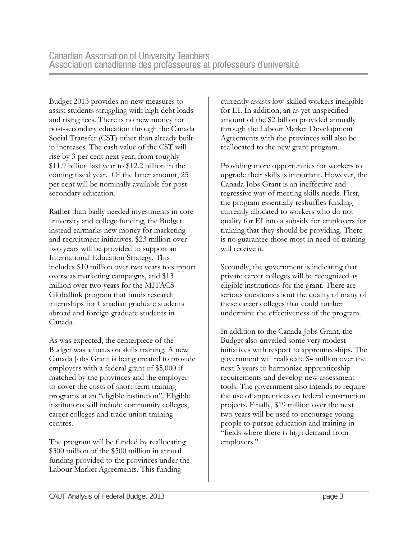Budget 2013 provides no new measures to assist students struggling with high debt loads and rising fees. There is no new money for post-secondary education through the Canada Social Transfer (CST) other than already builtin increases. The cash value of the CST will rise by 3 per cent next year, from roughly \$11.9 billion last year to \$12.2 billion in the coming fiscal year. Of the latter amount, 25 per cent will be nominally available for postsecondary education.

Rather than badly needed investments in core university and college funding, the Budget instead earmarks new money for marketing and recruitment initiatives. \$23 million over two years will be provided to support an International Education Strategy. This includes \$10 million over two years to support overseas marketing campaigns, and \$13 million over two years for the MITACS Globallink program that funds research internships for Canadian graduate students abroad and foreign graduate students in Canada.

As was expected, the centerpiece of the Budget was a focus on skills training. A new Canada Jobs Grant is being created to provide employers with a federal grant of \$5,000 if matched by the provinces and the employer to cover the costs of short-term training programs at an "eligible institution". Eligible institutions will include community colleges, career colleges and trade union training centres.

The program will be funded by reallocating \$300 million of the \$500 million in annual funding provided to the provinces under the Labour Market Agreements. This funding

currently assists low-skilled workers ineligible for EI. In addition, an as yet unspecified amount of the \$2 billion provided annually through the Labour Market Development Agreements with the provinces will also be reallocated to the new grant program.

Providing more opportunities for workers to upgrade their skills is important. However, the Canada Jobs Grant is an ineffective and regressive way of meeting skills needs. First, the program essentially reshuffles funding currently allocated to workers who do not quality for EI into a subsidy for employers for training that they should be providing. There is no guarantee those most in need of training will receive it.

Secondly, the government is indicating that private career colleges will be recognized as eligible institutions for the grant. There are serious questions about the quality of many of these career colleges that could further undermine the effectiveness of the program.

In addition to the Canada Jobs Grant, the Budget also unveiled some very modest initiatives with respect to apprenticeships. The government will reallocate \$4 million over the next 3 years to harmonize apprenticeship requirements and develop new assessment tools. The government also intends to require the use of apprentices on federal construction projects. Finally, \$19 million over the next two years will be used to encourage young people to pursue education and training in "fields where there is high demand from employers."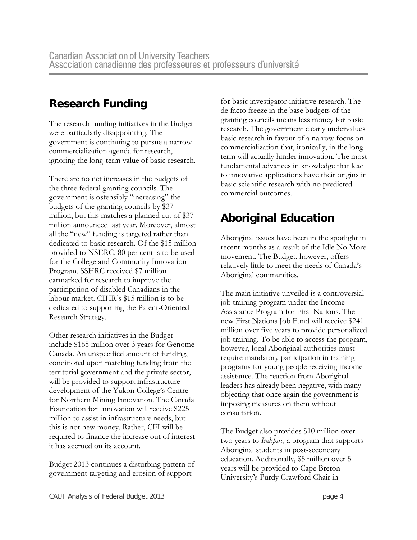#### **Research Funding**

The research funding initiatives in the Budget were particularly disappointing. The government is continuing to pursue a narrow commercialization agenda for research, ignoring the long-term value of basic research.

There are no net increases in the budgets of the three federal granting councils. The government is ostensibly "increasing" the budgets of the granting councils by \$37 million, but this matches a planned cut of \$37 million announced last year. Moreover, almost all the "new" funding is targeted rather than dedicated to basic research. Of the \$15 million provided to NSERC, 80 per cent is to be used for the College and Community Innovation Program. SSHRC received \$7 million earmarked for research to improve the participation of disabled Canadians in the labour market. CIHR's \$15 million is to be dedicated to supporting the Patent-Oriented Research Strategy.

Other research initiatives in the Budget include \$165 million over 3 years for Genome Canada. An unspecified amount of funding, conditional upon matching funding from the territorial government and the private sector, will be provided to support infrastructure development of the Yukon College's Centre for Northern Mining Innovation. The Canada Foundation for Innovation will receive \$225 million to assist in infrastructure needs, but this is not new money. Rather, CFI will be required to finance the increase out of interest it has accrued on its account.

Budget 2013 continues a disturbing pattern of government targeting and erosion of support

for basic investigator-initiative research. The de facto freeze in the base budgets of the granting councils means less money for basic research. The government clearly undervalues basic research in favour of a narrow focus on commercialization that, ironically, in the longterm will actually hinder innovation. The most fundamental advances in knowledge that lead to innovative applications have their origins in basic scientific research with no predicted commercial outcomes.

### **Aboriginal Education**

Aboriginal issues have been in the spotlight in recent months as a result of the Idle No More movement. The Budget, however, offers relatively little to meet the needs of Canada's Aboriginal communities.

The main initiative unveiled is a controversial job training program under the Income Assistance Program for First Nations. The new First Nations Job Fund will receive \$241 million over five years to provide personalized job training. To be able to access the program, however, local Aboriginal authorities must require mandatory participation in training programs for young people receiving income assistance. The reaction from Aboriginal leaders has already been negative, with many objecting that once again the government is imposing measures on them without consultation.

The Budget also provides \$10 million over two years to *Indspire,* a program that supports Aboriginal students in post-secondary education. Additionally, \$5 million over 5 years will be provided to Cape Breton University's Purdy Crawford Chair in